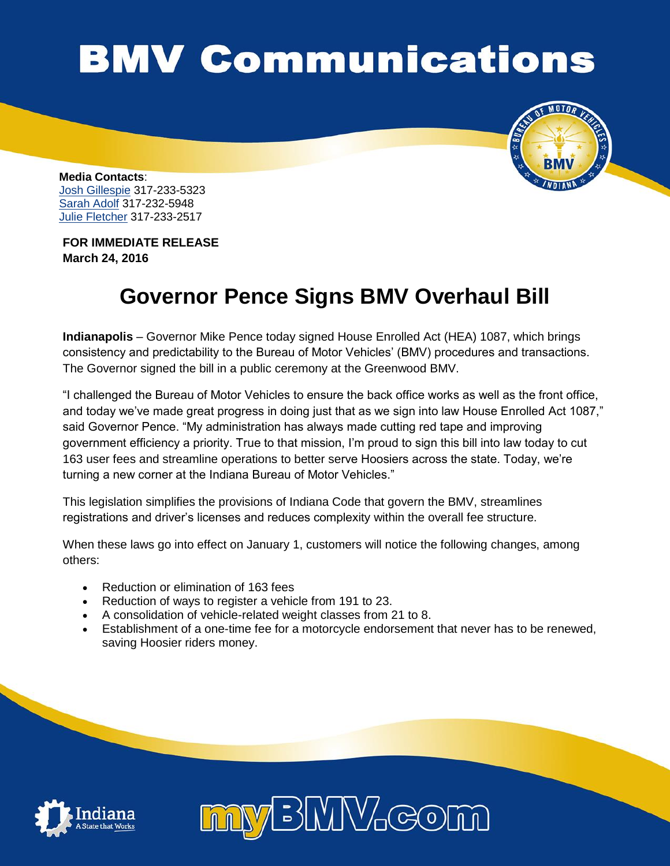## **BMV Communications**



**Media Contacts**: [Josh Gillespie](mailto:jogillespie@bmv.in.gov) 317-233-5323 [Sarah Adolf](mailto:saadolf@bmv.in.gov) 317-232-5948 [Julie Fletcher](mailto:jufletcher@bmv.in.gov) 317-233-2517

**FOR IMMEDIATE RELEASE March 24, 2016**

## **Governor Pence Signs BMV Overhaul Bill**

**Indianapolis** – Governor Mike Pence today signed House Enrolled Act (HEA) 1087, which brings consistency and predictability to the Bureau of Motor Vehicles' (BMV) procedures and transactions. The Governor signed the bill in a public ceremony at the Greenwood BMV.

"I challenged the Bureau of Motor Vehicles to ensure the back office works as well as the front office, and today we've made great progress in doing just that as we sign into law House Enrolled Act 1087," said Governor Pence. "My administration has always made cutting red tape and improving government efficiency a priority. True to that mission, I'm proud to sign this bill into law today to cut 163 user fees and streamline operations to better serve Hoosiers across the state. Today, we're turning a new corner at the Indiana Bureau of Motor Vehicles."

This legislation simplifies the provisions of Indiana Code that govern the BMV, streamlines registrations and driver's licenses and reduces complexity within the overall fee structure.

When these laws go into effect on January 1, customers will notice the following changes, among others:

- Reduction or elimination of 163 fees
- Reduction of ways to register a vehicle from 191 to 23.
- A consolidation of vehicle-related weight classes from 21 to 8.
- Establishment of a one-time fee for a motorcycle endorsement that never has to be renewed, saving Hoosier riders money.